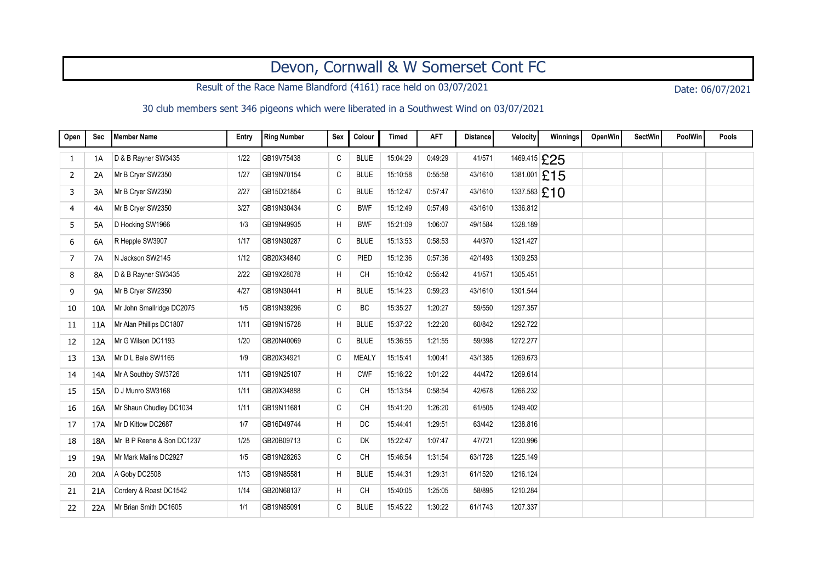## Devon, Cornwall & W Somerset Cont FC

Result of the Race Name Blandford (4161) race held on 03/07/2021 Date: 06/07/2021

## 30 club members sent 346 pigeons which were liberated in a Southwest Wind on 03/07/2021

| Open | <b>Sec</b> | <b>Member Name</b>        | Entry | Ring Number | Sex | Colour       | <b>Timed</b> | <b>AFT</b> | <b>Distance</b> | Velocity       | Winnings     | OpenWin | <b>SectWin</b> | <b>PoolWin</b> | Pools |
|------|------------|---------------------------|-------|-------------|-----|--------------|--------------|------------|-----------------|----------------|--------------|---------|----------------|----------------|-------|
| 1    | 1A         | D & B Rayner SW3435       | 1/22  | GB19V75438  | C   | <b>BLUE</b>  | 15:04:29     | 0:49:29    | 41/571          | 1469.415 £25   |              |         |                |                |       |
| 2    | 2A         | Mr B Cryer SW2350         | 1/27  | GB19N70154  | C   | <b>BLUE</b>  | 15:10:58     | 0:55:58    | 43/1610         |                | 1381.001 £15 |         |                |                |       |
| 3    | 3A         | Mr B Cryer SW2350         | 2/27  | GB15D21854  | C   | <b>BLUE</b>  | 15:12:47     | 0.57:47    | 43/1610         | 1337.583 $£10$ |              |         |                |                |       |
| 4    | 4A         | Mr B Cryer SW2350         | 3/27  | GB19N30434  | C   | <b>BWF</b>   | 15:12:49     | 0.57:49    | 43/1610         | 1336.812       |              |         |                |                |       |
| 5    | 5A         | D Hocking SW1966          | 1/3   | GB19N49935  | H   | <b>BWF</b>   | 15:21:09     | 1:06:07    | 49/1584         | 1328.189       |              |         |                |                |       |
| 6    | 6A         | R Hepple SW3907           | 1/17  | GB19N30287  | C   | <b>BLUE</b>  | 15:13:53     | 0:58:53    | 44/370          | 1321.427       |              |         |                |                |       |
| 7    | <b>7A</b>  | N Jackson SW2145          | 1/12  | GB20X34840  | C   | PIED         | 15:12:36     | 0.57:36    | 42/1493         | 1309.253       |              |         |                |                |       |
| 8    | 8A         | D & B Rayner SW3435       | 2/22  | GB19X28078  | H   | <b>CH</b>    | 15:10:42     | 0:55:42    | 41/571          | 1305.451       |              |         |                |                |       |
| 9    | <b>9A</b>  | Mr B Cryer SW2350         | 4/27  | GB19N30441  | H   | <b>BLUE</b>  | 15:14:23     | 0:59:23    | 43/1610         | 1301.544       |              |         |                |                |       |
| 10   | 10A        | Mr John Smallridge DC2075 | 1/5   | GB19N39296  | C   | BC           | 15:35:27     | 1:20:27    | 59/550          | 1297.357       |              |         |                |                |       |
| 11   | 11A        | Mr Alan Phillips DC1807   | 1/11  | GB19N15728  | H   | <b>BLUE</b>  | 15:37:22     | 1:22:20    | 60/842          | 1292.722       |              |         |                |                |       |
| 12   | 12A        | Mr G Wilson DC1193        | 1/20  | GB20N40069  | C   | <b>BLUE</b>  | 15:36:55     | 1:21:55    | 59/398          | 1272.277       |              |         |                |                |       |
| 13   | 13A        | Mr D L Bale SW1165        | 1/9   | GB20X34921  | C   | <b>MEALY</b> | 15:15:41     | 1:00:41    | 43/1385         | 1269.673       |              |         |                |                |       |
| 14   | 14A        | Mr A Southby SW3726       | 1/11  | GB19N25107  | H   | <b>CWF</b>   | 15:16:22     | 1:01:22    | 44/472          | 1269.614       |              |         |                |                |       |
| 15   | 15A        | D J Munro SW3168          | 1/11  | GB20X34888  | C   | <b>CH</b>    | 15:13:54     | 0:58:54    | 42/678          | 1266.232       |              |         |                |                |       |
| 16   | 16A        | Mr Shaun Chudley DC1034   | 1/11  | GB19N11681  | C   | <b>CH</b>    | 15:41:20     | 1:26:20    | 61/505          | 1249.402       |              |         |                |                |       |
| 17   | 17A        | Mr D Kittow DC2687        | 1/7   | GB16D49744  | H   | <b>DC</b>    | 15:44:41     | 1:29:51    | 63/442          | 1238.816       |              |         |                |                |       |
| 18   | 18A        | Mr B P Reene & Son DC1237 | 1/25  | GB20B09713  | C   | DK           | 15:22:47     | 1:07:47    | 47/721          | 1230.996       |              |         |                |                |       |
| 19   | 19A        | Mr Mark Malins DC2927     | 1/5   | GB19N28263  | С   | <b>CH</b>    | 15:46:54     | 1:31:54    | 63/1728         | 1225.149       |              |         |                |                |       |
| 20   | 20A        | A Goby DC2508             | 1/13  | GB19N85581  | H   | <b>BLUE</b>  | 15:44:31     | 1:29:31    | 61/1520         | 1216.124       |              |         |                |                |       |
| 21   | 21A        | Cordery & Roast DC1542    | 1/14  | GB20N68137  | H   | <b>CH</b>    | 15:40:05     | 1:25:05    | 58/895          | 1210.284       |              |         |                |                |       |
| 22   | 22A        | Mr Brian Smith DC1605     | 1/1   | GB19N85091  | C   | <b>BLUE</b>  | 15:45:22     | 1:30:22    | 61/1743         | 1207.337       |              |         |                |                |       |